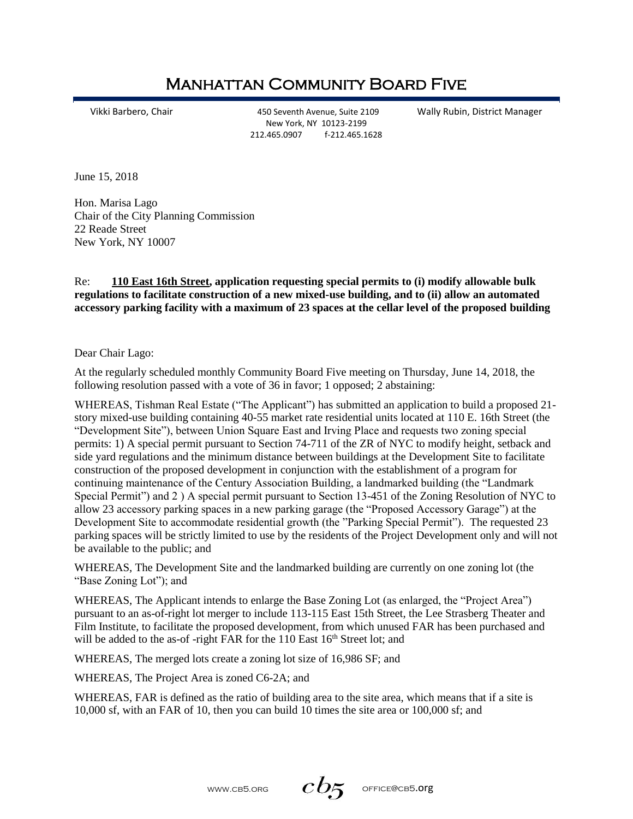## Manhattan Community Board Five

Vikki Barbero, Chair 450 Seventh Avenue, Suite 2109 Wally Rubin, District Manager New York, NY 10123-2199 212.465.0907 f-212.465.1628

June 15, 2018

Hon. Marisa Lago Chair of the City Planning Commission 22 Reade Street New York, NY 10007

Re: **[110 East 16th Street,](https://maps.google.com/?q=110+East+16th+Street&entry=gmail&source=g) application requesting special permits to (i) modify allowable bulk regulations to facilitate construction of a new mixed-use building, and to (ii) allow an automated accessory parking facility with a maximum of 23 spaces at the cellar level of the proposed building**

Dear Chair Lago:

At the regularly scheduled monthly Community Board Five meeting on Thursday, June 14, 2018, the following resolution passed with a vote of 36 in favor; 1 opposed; 2 abstaining:

WHEREAS, Tishman Real Estate ("The Applicant") has submitted an application to build a proposed 21 story mixed-use building containing 40-55 market rate residential units located at 110 E. 16th Street (the "Development Site"), between Union Square East and Irving Place and requests two zoning special permits: 1) A special permit pursuant to Section 74-711 of the ZR of NYC to modify height, setback and side yard regulations and the minimum distance between buildings at the Development Site to facilitate construction of the proposed development in conjunction with the establishment of a program for continuing maintenance of the Century Association Building, a landmarked building (the "Landmark Special Permit") and 2 ) A special permit pursuant to Section 13-451 of the Zoning Resolution of NYC to allow 23 accessory parking spaces in a new parking garage (the "Proposed Accessory Garage") at the Development Site to accommodate residential growth (the "Parking Special Permit"). The requested 23 parking spaces will be strictly limited to use by the residents of the Project Development only and will not be available to the public; and

WHEREAS, The Development Site and the landmarked building are currently on one zoning lot (the "Base Zoning Lot"); and

WHEREAS, The Applicant intends to enlarge the Base Zoning Lot (as enlarged, the "Project Area") pursuant to an as-of-right lot merger to include 113-115 East 15th Street, the Lee Strasberg Theater and Film Institute, to facilitate the proposed development, from which unused FAR has been purchased and will be added to the as-of-right FAR for the  $110$  East  $16<sup>th</sup>$  Street lot: and

WHEREAS, The merged lots create a zoning lot size of 16,986 SF; and

WHEREAS, The Project Area is zoned C6-2A; and

WHEREAS, FAR is defined as the ratio of building area to the site area, which means that if a site is 10,000 sf, with an FAR of 10, then you can build 10 times the site area or 100,000 sf; and

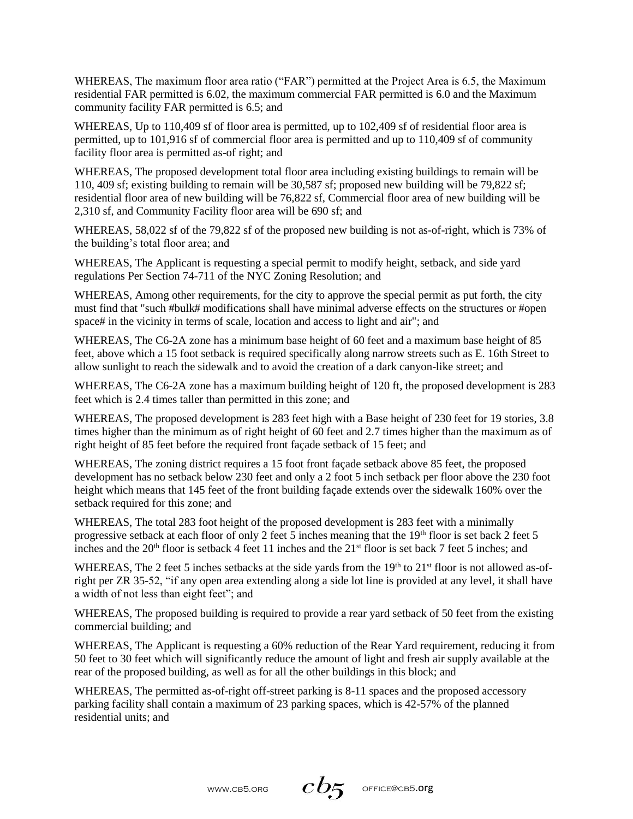WHEREAS, The maximum floor area ratio ("FAR") permitted at the Project Area is 6.5, the Maximum residential FAR permitted is 6.02, the maximum commercial FAR permitted is 6.0 and the Maximum community facility FAR permitted is 6.5; and

WHEREAS, Up to 110,409 sf of floor area is permitted, up to 102,409 sf of residential floor area is permitted, up to 101,916 sf of commercial floor area is permitted and up to 110,409 sf of community facility floor area is permitted as-of right; and

WHEREAS, The proposed development total floor area including existing buildings to remain will be 110, 409 sf; existing building to remain will be 30,587 sf; proposed new building will be 79,822 sf; residential floor area of new building will be 76,822 sf, Commercial floor area of new building will be 2,310 sf, and Community Facility floor area will be 690 sf; and

WHEREAS, 58,022 sf of the 79,822 sf of the proposed new building is not as-of-right, which is 73% of the building's total floor area; and

WHEREAS, The Applicant is requesting a special permit to modify height, setback, and side yard regulations Per Section 74-711 of the NYC Zoning Resolution; and

WHEREAS, Among other requirements, for the city to approve the special permit as put forth, the city must find that "such #bulk# modifications shall have minimal adverse effects on the structures or #open space# in the vicinity in terms of scale, location and access to light and air"; and

WHEREAS, The C6-2A zone has a minimum base height of 60 feet and a maximum base height of 85 feet, above which a 15 foot setback is required specifically along narrow streets such as E. 16th Street to allow sunlight to reach the sidewalk and to avoid the creation of a dark canyon-like street; and

WHEREAS, The C6-2A zone has a maximum building height of 120 ft, the proposed development is 283 feet which is 2.4 times taller than permitted in this zone; and

WHEREAS, The proposed development is 283 feet high with a Base height of 230 feet for 19 stories, 3.8 times higher than the minimum as of right height of 60 feet and 2.7 times higher than the maximum as of right height of 85 feet before the required front façade setback of 15 feet; and

WHEREAS, The zoning district requires a 15 foot front façade setback above 85 feet, the proposed development has no setback below 230 feet and only a 2 foot 5 inch setback per floor above the 230 foot height which means that 145 feet of the front building façade extends over the sidewalk 160% over the setback required for this zone; and

WHEREAS, The total 283 foot height of the proposed development is 283 feet with a minimally progressive setback at each floor of only 2 feet 5 inches meaning that the  $19<sup>th</sup>$  floor is set back 2 feet 5 inches and the  $20<sup>th</sup>$  floor is setback 4 feet 11 inches and the  $21<sup>st</sup>$  floor is set back 7 feet 5 inches; and

WHEREAS, The 2 feet 5 inches setbacks at the side yards from the  $19<sup>th</sup>$  to  $21<sup>st</sup>$  floor is not allowed as-ofright per ZR 35-52, "if any open area extending along a side lot line is provided at any level, it shall have a width of not less than eight feet"; and

WHEREAS, The proposed building is required to provide a rear yard setback of 50 feet from the existing commercial building; and

WHEREAS, The Applicant is requesting a 60% reduction of the Rear Yard requirement, reducing it from 50 feet to 30 feet which will significantly reduce the amount of light and fresh air supply available at the rear of the proposed building, as well as for all the other buildings in this block; and

WHEREAS, The permitted as-of-right off-street parking is 8-11 spaces and the proposed accessory parking facility shall contain a maximum of 23 parking spaces, which is 42-57% of the planned residential units; and

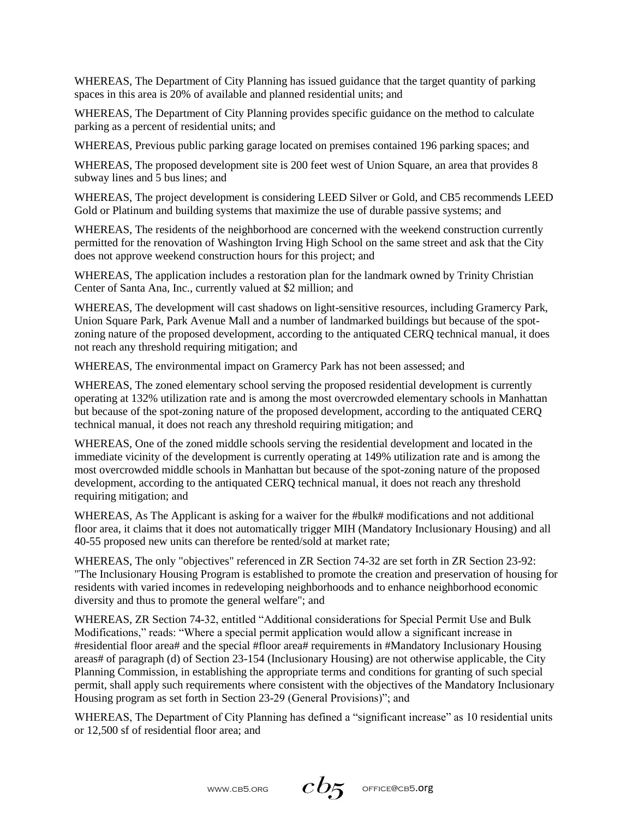WHEREAS, The Department of City Planning has issued guidance that the target quantity of parking spaces in this area is 20% of available and planned residential units; and

WHEREAS, The Department of City Planning provides specific guidance on the method to calculate parking as a percent of residential units; and

WHEREAS, Previous public parking garage located on premises contained 196 parking spaces; and

WHEREAS, The proposed development site is 200 feet west of Union Square, an area that provides 8 subway lines and 5 bus lines; and

WHEREAS, The project development is considering LEED Silver or Gold, and CB5 recommends LEED Gold or Platinum and building systems that maximize the use of durable passive systems; and

WHEREAS, The residents of the neighborhood are concerned with the weekend construction currently permitted for the renovation of Washington Irving High School on the same street and ask that the City does not approve weekend construction hours for this project; and

WHEREAS, The application includes a restoration plan for the landmark owned by Trinity Christian Center of Santa Ana, Inc., currently valued at \$2 million; and

WHEREAS, The development will cast shadows on light-sensitive resources, including Gramercy Park, Union Square Park, Park Avenue Mall and a number of landmarked buildings but because of the spotzoning nature of the proposed development, according to the antiquated CERQ technical manual, it does not reach any threshold requiring mitigation; and

WHEREAS, The environmental impact on Gramercy Park has not been assessed; and

WHEREAS, The zoned elementary school serving the proposed residential development is currently operating at 132% utilization rate and is among the most overcrowded elementary schools in Manhattan but because of the spot-zoning nature of the proposed development, according to the antiquated CERQ technical manual, it does not reach any threshold requiring mitigation; and

WHEREAS, One of the zoned middle schools serving the residential development and located in the immediate vicinity of the development is currently operating at 149% utilization rate and is among the most overcrowded middle schools in Manhattan but because of the spot-zoning nature of the proposed development, according to the antiquated CERQ technical manual, it does not reach any threshold requiring mitigation; and

WHEREAS, As The Applicant is asking for a waiver for the #bulk# modifications and not additional floor area, it claims that it does not automatically trigger MIH (Mandatory Inclusionary Housing) and all 40-55 proposed new units can therefore be rented/sold at market rate;

WHEREAS, The only "objectives" referenced in ZR Section 74-32 are set forth in ZR Section 23-92: "The Inclusionary Housing Program is established to promote the creation and preservation of housing for residents with varied incomes in redeveloping neighborhoods and to enhance neighborhood economic diversity and thus to promote the general welfare"; and

WHEREAS, ZR Section 74-32, entitled "Additional considerations for Special Permit Use and Bulk Modifications," reads: "Where a special permit application would allow a significant increase in #residential floor area# and the special #floor area# requirements in #Mandatory Inclusionary Housing areas# of paragraph (d) of Section 23-154 (Inclusionary Housing) are not otherwise applicable, the City Planning Commission, in establishing the appropriate terms and conditions for granting of such special permit, shall apply such requirements where consistent with the objectives of the Mandatory Inclusionary Housing program as set forth in Section 23-29 (General Provisions)"; and

WHEREAS, The Department of City Planning has defined a "significant increase" as 10 residential units or 12,500 sf of residential floor area; and